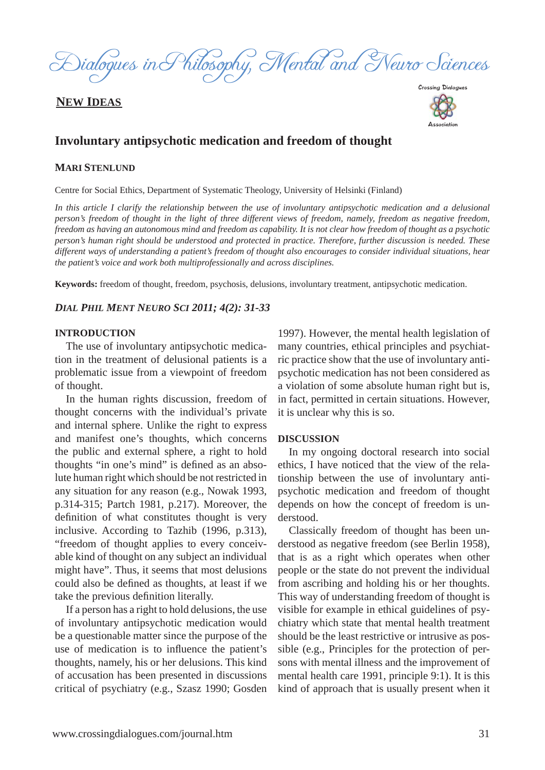

## **NEW IDEAS**



Association

## **Involuntary antipsychotic medication and freedom of thought**

### **MARI STENLUND**

Centre for Social Ethics, Department of Systematic Theology, University of Helsinki (Finland)

In this article I clarify the relationship between the use of involuntary antipsychotic medication and a delusional *person's freedom of thought in the light of three different views of freedom, namely, freedom as negative freedom, freedom as having an autonomous mind and freedom as capability. It is not clear how freedom of thought as a psychotic person's human right should be understood and protected in practice. Therefore, further discussion is needed. These different ways of understanding a patient's freedom of thought also encourages to consider individual situations, hear the patient's voice and work both multiprofessionally and across disciplines.*

**Keywords:** freedom of thought, freedom, psychosis, delusions, involuntary treatment, antipsychotic medication.

#### *DIAL PHIL MENT NEURO SCI 2011; 4(2): 31-33*

#### **INTRODUCTION**

The use of involuntary antipsychotic medication in the treatment of delusional patients is a problematic issue from a viewpoint of freedom of thought.

In the human rights discussion, freedom of thought concerns with the individual's private and internal sphere. Unlike the right to express and manifest one's thoughts, which concerns the public and external sphere, a right to hold thoughts "in one's mind" is defined as an absolute human right which should be not restricted in any situation for any reason (e.g., Nowak 1993, p.314-315; Partch 1981, p.217). Moreover, the definition of what constitutes thought is very inclusive. According to Tazhib (1996, p.313), "freedom of thought applies to every conceivable kind of thought on any subject an individual might have". Thus, it seems that most delusions could also be defined as thoughts, at least if we take the previous definition literally.

If a person has a right to hold delusions, the use of involuntary antipsychotic medication would be a questionable matter since the purpose of the use of medication is to influence the patient's thoughts, namely, his or her delusions. This kind of accusation has been presented in discussions critical of psychiatry (e.g., Szasz 1990; Gosden

1997). However, the mental health legislation of many countries, ethical principles and psychiatric practice show that the use of involuntary antipsychotic medication has not been considered as a violation of some absolute human right but is, in fact, permitted in certain situations. However, it is unclear why this is so.

#### **DISCUSSION**

In my ongoing doctoral research into social ethics, I have noticed that the view of the relationship between the use of involuntary antipsychotic medication and freedom of thought depends on how the concept of freedom is understood.

Classically freedom of thought has been understood as negative freedom (see Berlin 1958), that is as a right which operates when other people or the state do not prevent the individual from ascribing and holding his or her thoughts. This way of understanding freedom of thought is visible for example in ethical guidelines of psychiatry which state that mental health treatment should be the least restrictive or intrusive as possible (e.g., Principles for the protection of persons with mental illness and the improvement of mental health care 1991, principle 9:1). It is this kind of approach that is usually present when it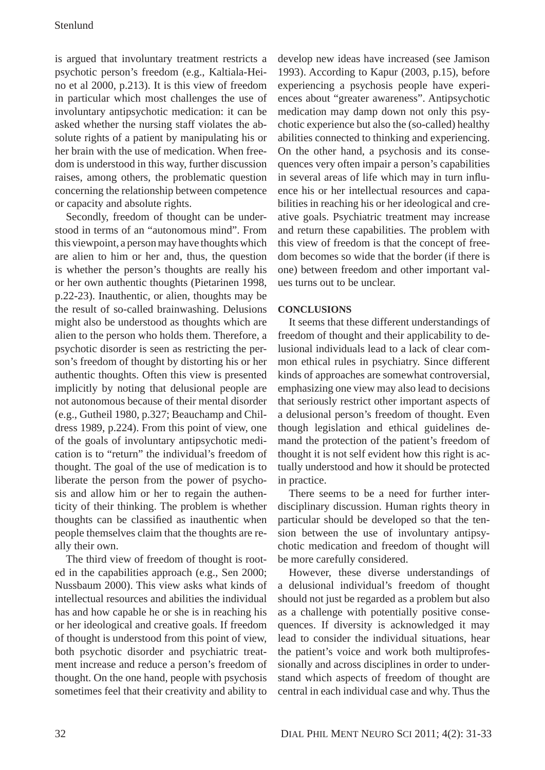is argued that involuntary treatment restricts a psychotic person's freedom (e.g., Kaltiala-Heino et al 2000, p.213). It is this view of freedom in particular which most challenges the use of involuntary antipsychotic medication: it can be asked whether the nursing staff violates the absolute rights of a patient by manipulating his or her brain with the use of medication. When freedom is understood in this way, further discussion raises, among others, the problematic question concerning the relationship between competence or capacity and absolute rights.

Secondly, freedom of thought can be understood in terms of an "autonomous mind". From this viewpoint, a person may have thoughts which are alien to him or her and, thus, the question is whether the person's thoughts are really his or her own authentic thoughts (Pietarinen 1998, p.22-23). Inauthentic, or alien, thoughts may be the result of so-called brainwashing. Delusions might also be understood as thoughts which are alien to the person who holds them. Therefore, a psychotic disorder is seen as restricting the person's freedom of thought by distorting his or her authentic thoughts. Often this view is presented implicitly by noting that delusional people are not autonomous because of their mental disorder (e.g., Gutheil 1980, p.327; Beauchamp and Childress 1989, p.224). From this point of view, one of the goals of involuntary antipsychotic medication is to "return" the individual's freedom of thought. The goal of the use of medication is to liberate the person from the power of psychosis and allow him or her to regain the authenticity of their thinking. The problem is whether thoughts can be classified as inauthentic when people themselves claim that the thoughts are really their own.

The third view of freedom of thought is rooted in the capabilities approach (e.g., Sen 2000; Nussbaum 2000). This view asks what kinds of intellectual resources and abilities the individual has and how capable he or she is in reaching his or her ideological and creative goals. If freedom of thought is understood from this point of view, both psychotic disorder and psychiatric treatment increase and reduce a person's freedom of thought. On the one hand, people with psychosis sometimes feel that their creativity and ability to develop new ideas have increased (see Jamison 1993). According to Kapur (2003, p.15), before experiencing a psychosis people have experiences about "greater awareness". Antipsychotic medication may damp down not only this psychotic experience but also the (so-called) healthy abilities connected to thinking and experiencing. On the other hand, a psychosis and its consequences very often impair a person's capabilities in several areas of life which may in turn influence his or her intellectual resources and capabilities in reaching his or her ideological and creative goals. Psychiatric treatment may increase and return these capabilities. The problem with this view of freedom is that the concept of freedom becomes so wide that the border (if there is one) between freedom and other important values turns out to be unclear.

## **CONCLUSIONS**

It seems that these different understandings of freedom of thought and their applicability to delusional individuals lead to a lack of clear common ethical rules in psychiatry. Since different kinds of approaches are somewhat controversial, emphasizing one view may also lead to decisions that seriously restrict other important aspects of a delusional person's freedom of thought. Even though legislation and ethical guidelines demand the protection of the patient's freedom of thought it is not self evident how this right is actually understood and how it should be protected in practice.

There seems to be a need for further interdisciplinary discussion. Human rights theory in particular should be developed so that the tension between the use of involuntary antipsychotic medication and freedom of thought will be more carefully considered.

However, these diverse understandings of a delusional individual's freedom of thought should not just be regarded as a problem but also as a challenge with potentially positive consequences. If diversity is acknowledged it may lead to consider the individual situations, hear the patient's voice and work both multiprofessionally and across disciplines in order to understand which aspects of freedom of thought are central in each individual case and why. Thus the